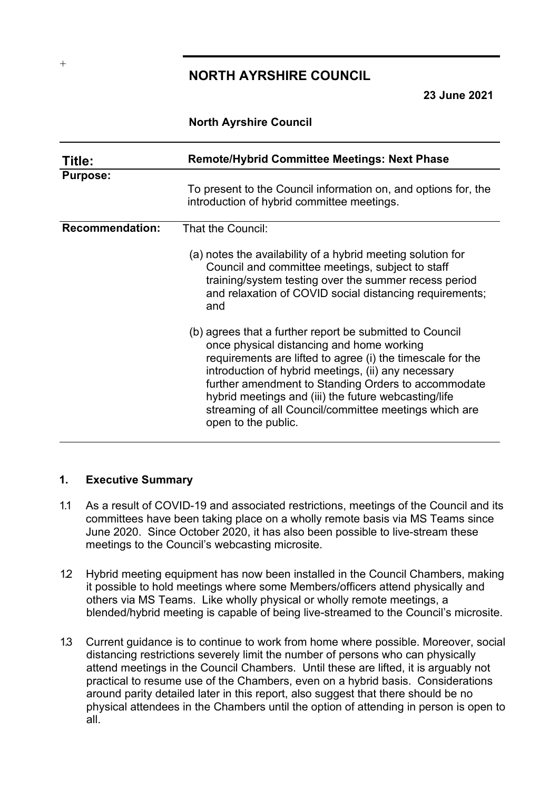# **NORTH AYRSHIRE COUNCIL**

**23 June 2021**

### **North Ayrshire Council**

| Title:                 | <b>Remote/Hybrid Committee Meetings: Next Phase</b>                                                                                                                                                                                                                                                                                                                                                                       |
|------------------------|---------------------------------------------------------------------------------------------------------------------------------------------------------------------------------------------------------------------------------------------------------------------------------------------------------------------------------------------------------------------------------------------------------------------------|
| <b>Purpose:</b>        | To present to the Council information on, and options for, the<br>introduction of hybrid committee meetings.                                                                                                                                                                                                                                                                                                              |
| <b>Recommendation:</b> | That the Council:<br>(a) notes the availability of a hybrid meeting solution for<br>Council and committee meetings, subject to staff<br>training/system testing over the summer recess period<br>and relaxation of COVID social distancing requirements;<br>and                                                                                                                                                           |
|                        | (b) agrees that a further report be submitted to Council<br>once physical distancing and home working<br>requirements are lifted to agree (i) the timescale for the<br>introduction of hybrid meetings, (ii) any necessary<br>further amendment to Standing Orders to accommodate<br>hybrid meetings and (iii) the future webcasting/life<br>streaming of all Council/committee meetings which are<br>open to the public. |

#### **1. Executive Summary**

- 1.1 As a result of COVID-19 and associated restrictions, meetings of the Council and its committees have been taking place on a wholly remote basis via MS Teams since June 2020. Since October 2020, it has also been possible to live-stream these meetings to the Council's webcasting microsite.
- 1.2 Hybrid meeting equipment has now been installed in the Council Chambers, making it possible to hold meetings where some Members/officers attend physically and others via MS Teams. Like wholly physical or wholly remote meetings, a blended/hybrid meeting is capable of being live-streamed to the Council's microsite.
- 1.3 Current guidance is to continue to work from home where possible. Moreover, social distancing restrictions severely limit the number of persons who can physically attend meetings in the Council Chambers. Until these are lifted, it is arguably not practical to resume use of the Chambers, even on a hybrid basis. Considerations around parity detailed later in this report, also suggest that there should be no physical attendees in the Chambers until the option of attending in person is open to all.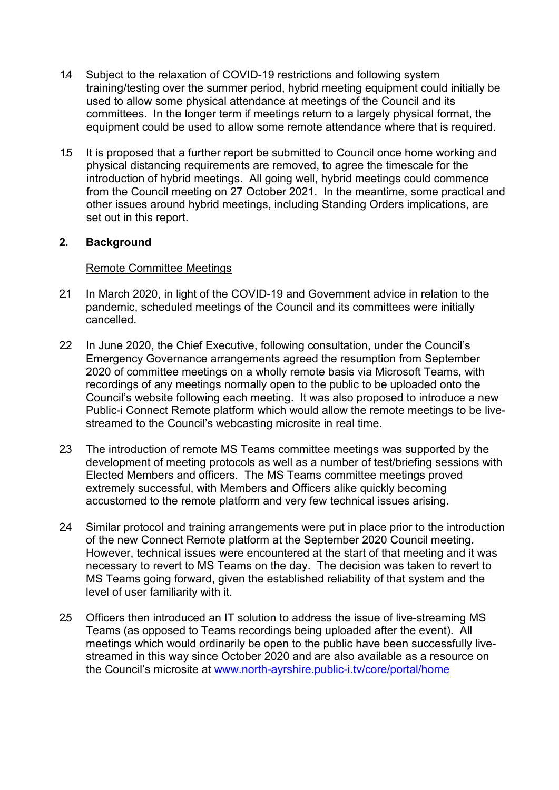- 1.4 Subject to the relaxation of COVID-19 restrictions and following system training/testing over the summer period, hybrid meeting equipment could initially be used to allow some physical attendance at meetings of the Council and its committees. In the longer term if meetings return to a largely physical format, the equipment could be used to allow some remote attendance where that is required.
- 1.5 It is proposed that a further report be submitted to Council once home working and physical distancing requirements are removed, to agree the timescale for the introduction of hybrid meetings. All going well, hybrid meetings could commence from the Council meeting on 27 October 2021. In the meantime, some practical and other issues around hybrid meetings, including Standing Orders implications, are set out in this report.

### **2. Background**

### Remote Committee Meetings

- 2.1 In March 2020, in light of the COVID-19 and Government advice in relation to the pandemic, scheduled meetings of the Council and its committees were initially cancelled.
- 22 In June 2020, the Chief Executive, following consultation, under the Council's Emergency Governance arrangements agreed the resumption from September 2020 of committee meetings on a wholly remote basis via Microsoft Teams, with recordings of any meetings normally open to the public to be uploaded onto the Council's website following each meeting. It was also proposed to introduce a new Public-i Connect Remote platform which would allow the remote meetings to be livestreamed to the Council's webcasting microsite in real time.
- 2.3 The introduction of remote MS Teams committee meetings was supported by the development of meeting protocols as well as a number of test/briefing sessions with Elected Members and officers. The MS Teams committee meetings proved extremely successful, with Members and Officers alike quickly becoming accustomed to the remote platform and very few technical issues arising.
- 2.4 Similar protocol and training arrangements were put in place prior to the introduction of the new Connect Remote platform at the September 2020 Council meeting. However, technical issues were encountered at the start of that meeting and it was necessary to revert to MS Teams on the day. The decision was taken to revert to MS Teams going forward, given the established reliability of that system and the level of user familiarity with it.
- 2.5 Officers then introduced an IT solution to address the issue of live-streaming MS Teams (as opposed to Teams recordings being uploaded after the event). All meetings which would ordinarily be open to the public have been successfully livestreamed in this way since October 2020 and are also available as a resource on the Council's microsite at [www.north-ayrshire.public-i.tv/core/portal/home](http://www.north-ayrshire.public-i.tv/core/portal/home)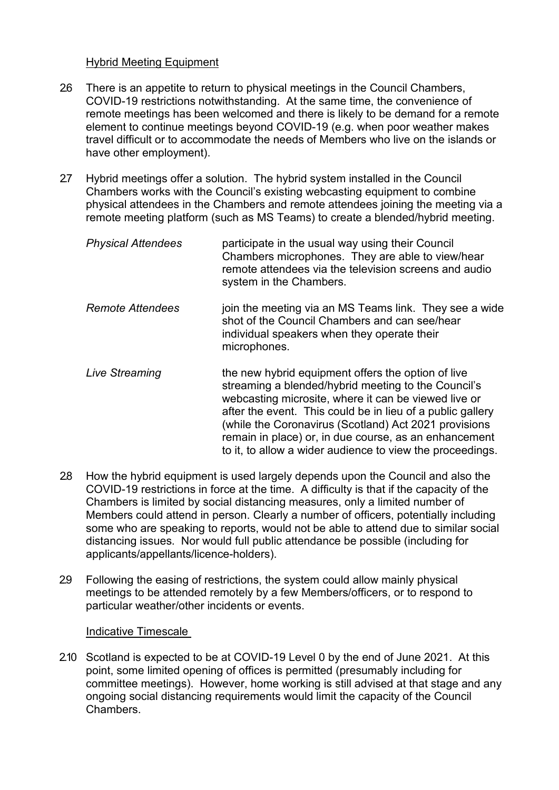### Hybrid Meeting Equipment

- 26 There is an appetite to return to physical meetings in the Council Chambers, COVID-19 restrictions notwithstanding. At the same time, the convenience of remote meetings has been welcomed and there is likely to be demand for a remote element to continue meetings beyond COVID-19 (e.g. when poor weather makes travel difficult or to accommodate the needs of Members who live on the islands or have other employment).
- 2.7 Hybrid meetings offer a solution. The hybrid system installed in the Council Chambers works with the Council's existing webcasting equipment to combine physical attendees in the Chambers and remote attendees joining the meeting via a remote meeting platform (such as MS Teams) to create a blended/hybrid meeting.

| <b>Physical Attendees</b> | participate in the usual way using their Council<br>Chambers microphones. They are able to view/hear<br>remote attendees via the television screens and audio |
|---------------------------|---------------------------------------------------------------------------------------------------------------------------------------------------------------|
|                           | system in the Chambers.                                                                                                                                       |
|                           |                                                                                                                                                               |

- *Remote Attendees* join the meeting via an MS Teams link. They see a wide shot of the Council Chambers and can see/hear individual speakers when they operate their microphones.
- Live Streaming **the new hybrid equipment offers the option of live** streaming a blended/hybrid meeting to the Council's webcasting microsite, where it can be viewed live or after the event. This could be in lieu of a public gallery (while the Coronavirus (Scotland) Act 2021 provisions remain in place) or, in due course, as an enhancement to it, to allow a wider audience to view the proceedings.
- 2.8 How the hybrid equipment is used largely depends upon the Council and also the COVID-19 restrictions in force at the time. A difficulty is that if the capacity of the Chambers is limited by social distancing measures, only a limited number of Members could attend in person. Clearly a number of officers, potentially including some who are speaking to reports, would not be able to attend due to similar social distancing issues. Nor would full public attendance be possible (including for applicants/appellants/licence-holders).
- 2.9 Following the easing of restrictions, the system could allow mainly physical meetings to be attended remotely by a few Members/officers, or to respond to particular weather/other incidents or events.

Indicative Timescale

2.10 Scotland is expected to be at COVID-19 Level 0 by the end of June 2021. At this point, some limited opening of offices is permitted (presumably including for committee meetings). However, home working is still advised at that stage and any ongoing social distancing requirements would limit the capacity of the Council Chambers.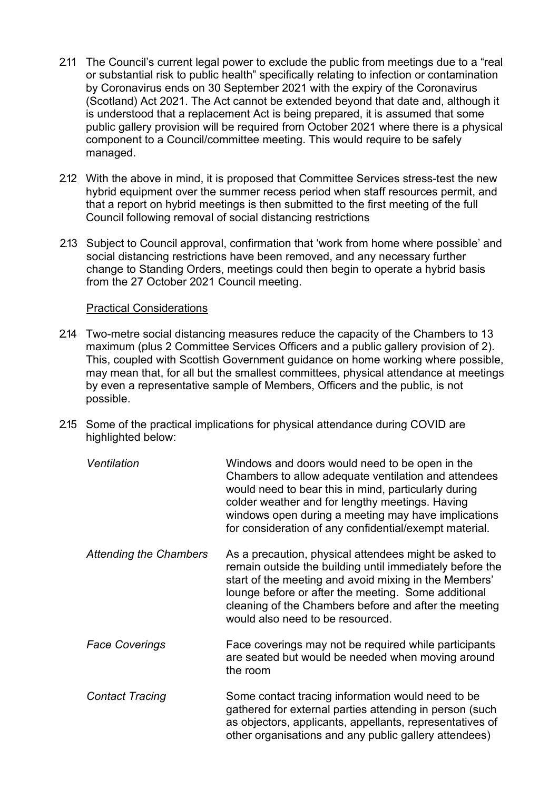- 2.11 The Council's current legal power to exclude the public from meetings due to a "real or substantial risk to public health" specifically relating to infection or contamination by Coronavirus ends on 30 September 2021 with the expiry of the Coronavirus (Scotland) Act 2021. The Act cannot be extended beyond that date and, although it is understood that a replacement Act is being prepared, it is assumed that some public gallery provision will be required from October 2021 where there is a physical component to a Council/committee meeting. This would require to be safely managed.
- 2.12 With the above in mind, it is proposed that Committee Services stress-test the new hybrid equipment over the summer recess period when staff resources permit, and that a report on hybrid meetings is then submitted to the first meeting of the full Council following removal of social distancing restrictions
- 2.13 Subject to Council approval, confirmation that 'work from home where possible' and social distancing restrictions have been removed, and any necessary further change to Standing Orders, meetings could then begin to operate a hybrid basis from the 27 October 2021 Council meeting.

### Practical Considerations

- 2.14 Two-metre social distancing measures reduce the capacity of the Chambers to 13 maximum (plus 2 Committee Services Officers and a public gallery provision of 2). This, coupled with Scottish Government guidance on home working where possible, may mean that, for all but the smallest committees, physical attendance at meetings by even a representative sample of Members, Officers and the public, is not possible.
- 2.15 Some of the practical implications for physical attendance during COVID are highlighted below:

| Ventilation                   | Windows and doors would need to be open in the<br>Chambers to allow adequate ventilation and attendees<br>would need to bear this in mind, particularly during<br>colder weather and for lengthy meetings. Having<br>windows open during a meeting may have implications<br>for consideration of any confidential/exempt material. |
|-------------------------------|------------------------------------------------------------------------------------------------------------------------------------------------------------------------------------------------------------------------------------------------------------------------------------------------------------------------------------|
| <b>Attending the Chambers</b> | As a precaution, physical attendees might be asked to<br>remain outside the building until immediately before the<br>start of the meeting and avoid mixing in the Members'<br>lounge before or after the meeting. Some additional<br>cleaning of the Chambers before and after the meeting<br>would also need to be resourced.     |
| <b>Face Coverings</b>         | Face coverings may not be required while participants<br>are seated but would be needed when moving around<br>the room                                                                                                                                                                                                             |
| <b>Contact Tracing</b>        | Some contact tracing information would need to be<br>gathered for external parties attending in person (such<br>as objectors, applicants, appellants, representatives of                                                                                                                                                           |

other organisations and any public gallery attendees)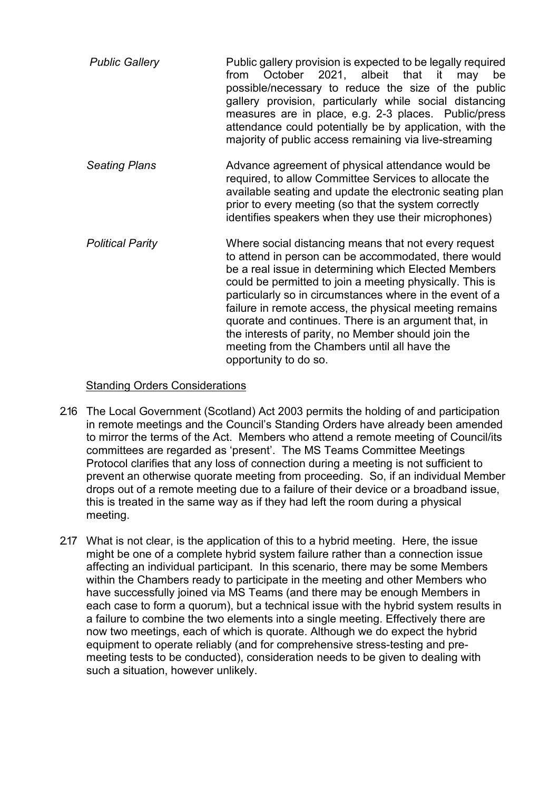| <b>Public Gallery</b> | Public gallery provision is expected to be legally required<br>from October 2021, albeit that it may be<br>possible/necessary to reduce the size of the public<br>gallery provision, particularly while social distancing<br>measures are in place, e.g. 2-3 places. Public/press<br>attendance could potentially be by application, with the<br>majority of public access remaining via live-streaming |
|-----------------------|---------------------------------------------------------------------------------------------------------------------------------------------------------------------------------------------------------------------------------------------------------------------------------------------------------------------------------------------------------------------------------------------------------|
| <b>Seating Plans</b>  | Advance agreement of physical attendance would be                                                                                                                                                                                                                                                                                                                                                       |

- *Seating Plans* Advance agreement of physical attendance would be required, to allow Committee Services to allocate the available seating and update the electronic seating plan prior to every meeting (so that the system correctly identifies speakers when they use their microphones)
- *Political Parity* Where social distancing means that not every request to attend in person can be accommodated, there would be a real issue in determining which Elected Members could be permitted to join a meeting physically. This is particularly so in circumstances where in the event of a failure in remote access, the physical meeting remains quorate and continues. There is an argument that, in the interests of parity, no Member should join the meeting from the Chambers until all have the opportunity to do so.

# Standing Orders Considerations

- 2.16 The Local Government (Scotland) Act 2003 permits the holding of and participation in remote meetings and the Council's Standing Orders have already been amended to mirror the terms of the Act. Members who attend a remote meeting of Council/its committees are regarded as 'present'. The MS Teams Committee Meetings Protocol clarifies that any loss of connection during a meeting is not sufficient to prevent an otherwise quorate meeting from proceeding. So, if an individual Member drops out of a remote meeting due to a failure of their device or a broadband issue, this is treated in the same way as if they had left the room during a physical meeting.
- 2.17 What is not clear, is the application of this to a hybrid meeting. Here, the issue might be one of a complete hybrid system failure rather than a connection issue affecting an individual participant. In this scenario, there may be some Members within the Chambers ready to participate in the meeting and other Members who have successfully joined via MS Teams (and there may be enough Members in each case to form a quorum), but a technical issue with the hybrid system results in a failure to combine the two elements into a single meeting. Effectively there are now two meetings, each of which is quorate. Although we do expect the hybrid equipment to operate reliably (and for comprehensive stress-testing and premeeting tests to be conducted), consideration needs to be given to dealing with such a situation, however unlikely.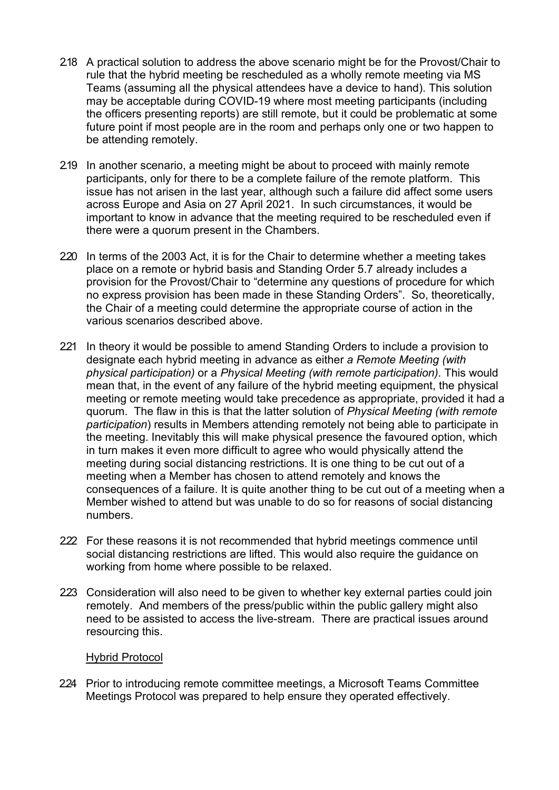- 2.18 A practical solution to address the above scenario might be for the Provost/Chair to rule that the hybrid meeting be rescheduled as a wholly remote meeting via MS Teams (assuming all the physical attendees have a device to hand). This solution may be acceptable during COVID-19 where most meeting participants (including the officers presenting reports) are still remote, but it could be problematic at some future point if most people are in the room and perhaps only one or two happen to be attending remotely.
- 2.19 In another scenario, a meeting might be about to proceed with mainly remote participants, only for there to be a complete failure of the remote platform. This issue has not arisen in the last year, although such a failure did affect some users across Europe and Asia on 27 April 2021. In such circumstances, it would be important to know in advance that the meeting required to be rescheduled even if there were a quorum present in the Chambers.
- 220 In terms of the 2003 Act, it is for the Chair to determine whether a meeting takes place on a remote or hybrid basis and Standing Order 5.7 already includes a provision for the Provost/Chair to "determine any questions of procedure for which no express provision has been made in these Standing Orders". So, theoretically, the Chair of a meeting could determine the appropriate course of action in the various scenarios described above.
- 221 In theory it would be possible to amend Standing Orders to include a provision to designate each hybrid meeting in advance as either *a Remote Meeting (with physical participation)* or a *Physical Meeting (with remote participation).* This would mean that, in the event of any failure of the hybrid meeting equipment, the physical meeting or remote meeting would take precedence as appropriate, provided it had a quorum. The flaw in this is that the latter solution of *Physical Meeting (with remote participation*) results in Members attending remotely not being able to participate in the meeting. Inevitably this will make physical presence the favoured option, which in turn makes it even more difficult to agree who would physically attend the meeting during social distancing restrictions. It is one thing to be cut out of a meeting when a Member has chosen to attend remotely and knows the consequences of a failure. It is quite another thing to be cut out of a meeting when a Member wished to attend but was unable to do so for reasons of social distancing numbers.
- 222 For these reasons it is not recommended that hybrid meetings commence until social distancing restrictions are lifted. This would also require the guidance on working from home where possible to be relaxed.
- 223 Consideration will also need to be given to whether key external parties could join remotely. And members of the press/public within the public gallery might also need to be assisted to access the live-stream. There are practical issues around resourcing this.

### Hybrid Protocol

224 Prior to introducing remote committee meetings, a Microsoft Teams Committee Meetings Protocol was prepared to help ensure they operated effectively.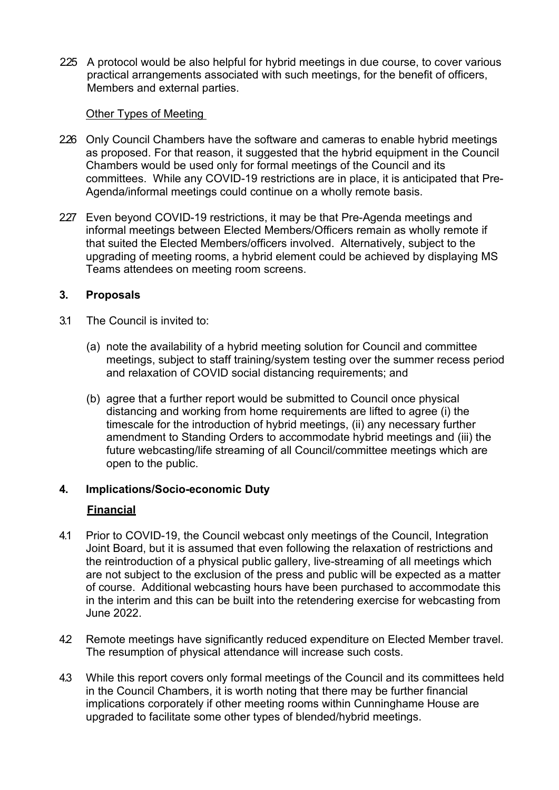2.25 A protocol would be also helpful for hybrid meetings in due course, to cover various practical arrangements associated with such meetings, for the benefit of officers, Members and external parties.

## Other Types of Meeting

- 226 Only Council Chambers have the software and cameras to enable hybrid meetings as proposed. For that reason, it suggested that the hybrid equipment in the Council Chambers would be used only for formal meetings of the Council and its committees. While any COVID-19 restrictions are in place, it is anticipated that Pre-Agenda/informal meetings could continue on a wholly remote basis.
- 227 Even beyond COVID-19 restrictions, it may be that Pre-Agenda meetings and informal meetings between Elected Members/Officers remain as wholly remote if that suited the Elected Members/officers involved. Alternatively, subject to the upgrading of meeting rooms, a hybrid element could be achieved by displaying MS Teams attendees on meeting room screens.

## **3. Proposals**

- 3.1 The Council is invited to:
	- (a) note the availability of a hybrid meeting solution for Council and committee meetings, subject to staff training/system testing over the summer recess period and relaxation of COVID social distancing requirements; and
	- (b) agree that a further report would be submitted to Council once physical distancing and working from home requirements are lifted to agree (i) the timescale for the introduction of hybrid meetings, (ii) any necessary further amendment to Standing Orders to accommodate hybrid meetings and (iii) the future webcasting/life streaming of all Council/committee meetings which are open to the public.

### **4. Implications/Socio-economic Duty**

### **Financial**

- 4.1 Prior to COVID-19, the Council webcast only meetings of the Council, Integration Joint Board, but it is assumed that even following the relaxation of restrictions and the reintroduction of a physical public gallery, live-streaming of all meetings which are not subject to the exclusion of the press and public will be expected as a matter of course. Additional webcasting hours have been purchased to accommodate this in the interim and this can be built into the retendering exercise for webcasting from June 2022.
- 42 Remote meetings have significantly reduced expenditure on Elected Member travel. The resumption of physical attendance will increase such costs.
- 4.3 While this report covers only formal meetings of the Council and its committees held in the Council Chambers, it is worth noting that there may be further financial implications corporately if other meeting rooms within Cunninghame House are upgraded to facilitate some other types of blended/hybrid meetings.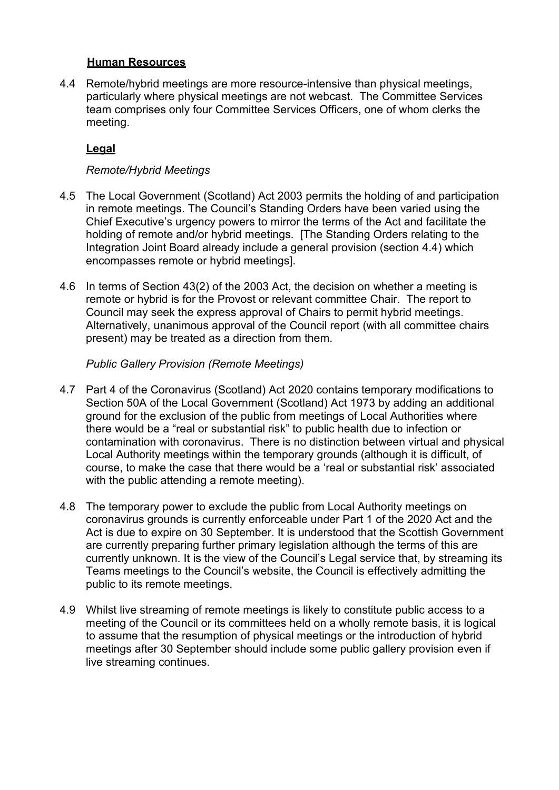## **Human Resources**

4.4 Remote/hybrid meetings are more resource-intensive than physical meetings, particularly where physical meetings are not webcast. The Committee Services team comprises only four Committee Services Officers, one of whom clerks the meeting.

# **Legal**

## *Remote/Hybrid Meetings*

- 4.5 The Local Government (Scotland) Act 2003 permits the holding of and participation in remote meetings. The Council's Standing Orders have been varied using the Chief Executive's urgency powers to mirror the terms of the Act and facilitate the holding of remote and/or hybrid meetings. [The Standing Orders relating to the Integration Joint Board already include a general provision (section 4.4) which encompasses remote or hybrid meetings].
- 4.6 In terms of Section 43(2) of the 2003 Act, the decision on whether a meeting is remote or hybrid is for the Provost or relevant committee Chair. The report to Council may seek the express approval of Chairs to permit hybrid meetings. Alternatively, unanimous approval of the Council report (with all committee chairs present) may be treated as a direction from them.

## *Public Gallery Provision (Remote Meetings)*

- 4.7 Part 4 of the Coronavirus (Scotland) Act 2020 contains temporary modifications to Section 50A of the Local Government (Scotland) Act 1973 by adding an additional ground for the exclusion of the public from meetings of Local Authorities where there would be a "real or substantial risk" to public health due to infection or contamination with coronavirus. There is no distinction between virtual and physical Local Authority meetings within the temporary grounds (although it is difficult, of course, to make the case that there would be a 'real or substantial risk' associated with the public attending a remote meeting).
- 4.8 The temporary power to exclude the public from Local Authority meetings on coronavirus grounds is currently enforceable under Part 1 of the 2020 Act and the Act is due to expire on 30 September. It is understood that the Scottish Government are currently preparing further primary legislation although the terms of this are currently unknown. It is the view of the Council's Legal service that, by streaming its Teams meetings to the Council's website, the Council is effectively admitting the public to its remote meetings.
- 4.9 Whilst live streaming of remote meetings is likely to constitute public access to a meeting of the Council or its committees held on a wholly remote basis, it is logical to assume that the resumption of physical meetings or the introduction of hybrid meetings after 30 September should include some public gallery provision even if live streaming continues.